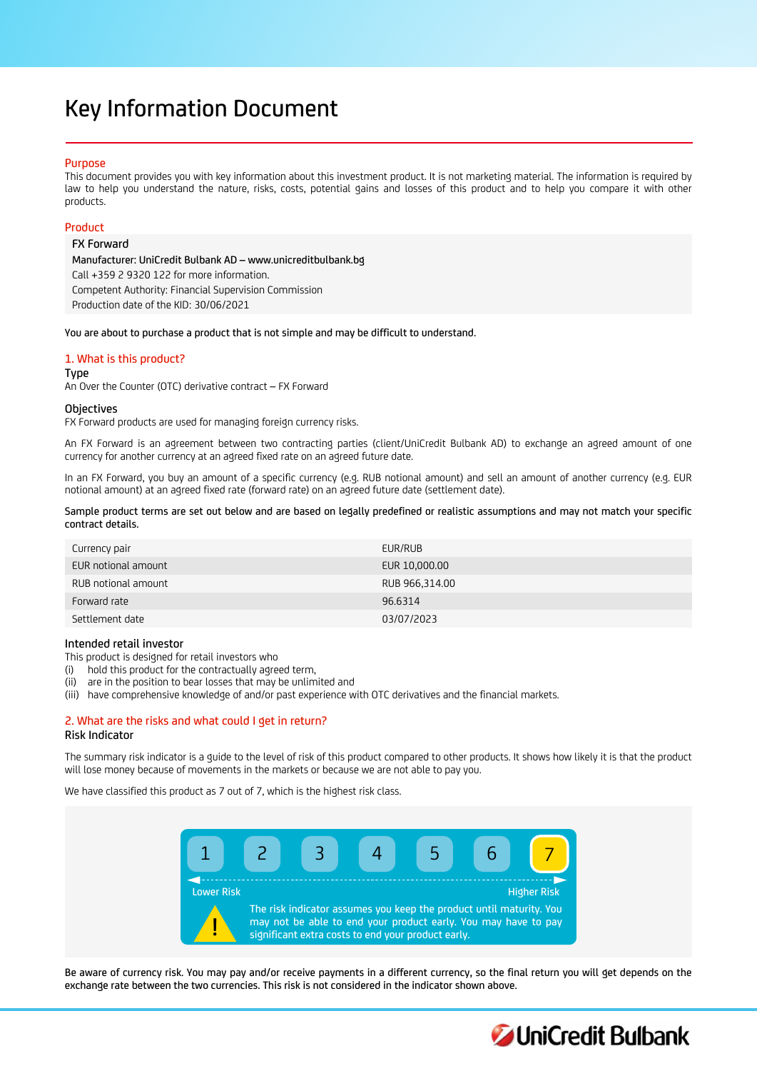# Key Information Document

# Purpose

This document provides you with key information about this investment product. It is not marketing material. The information is required by law to help you understand the nature, risks, costs, potential gains and losses of this product and to help you compare it with other products.

# Product

FX Forward

Manufacturer: UniCredit Bulbank AD – www.unicreditbulbank.bg Call +359 2 9320 122 for more information. Competent Authority: Financial Supervision Commission Production date of the KID: 30/06/2021

You are about to purchase a product that is not simple and may be difficult to understand.

# 1. What is this product?

Type

An Over the Counter (OTC) derivative contract – FX Forward

## Objectives

FX Forward products are used for managing foreign currency risks.

An FX Forward is an agreement between two contracting parties (client/UniCredit Bulbank AD) to exchange an agreed amount of one currency for another currency at an agreed fixed rate on an agreed future date.

In an FX Forward, you buy an amount of a specific currency (e.g. RUB notional amount) and sell an amount of another currency (e.g. EUR notional amount) at an agreed fixed rate (forward rate) on an agreed future date (settlement date).

Sample product terms are set out below and are based on legally predefined or realistic assumptions and may not match your specific contract details.

| Currency pair       | EUR/RUB        |
|---------------------|----------------|
| EUR notional amount | EUR 10,000.00  |
| RUB notional amount | RUB 966,314.00 |
| Forward rate        | 96.6314        |
| Settlement date     | 03/07/2023     |

# Intended retail investor

This product is designed for retail investors who

(i) hold this product for the contractually agreed term,

(ii) are in the position to bear losses that may be unlimited and

(iii) have comprehensive knowledge of and/or past experience with OTC derivatives and the financial markets.

# 2. What are the risks and what could I get in return? Risk Indicator

The summary risk indicator is a guide to the level of risk of this product compared to other products. It shows how likely it is that the product will lose money because of movements in the markets or because we are not able to pay you.

We have classified this product as 7 out of 7, which is the highest risk class.



Be aware of currency risk. You may pay and/or receive payments in a different currency, so the final return you will get depends on the exchange rate between the two currencies. This risk is not considered in the indicator shown above.

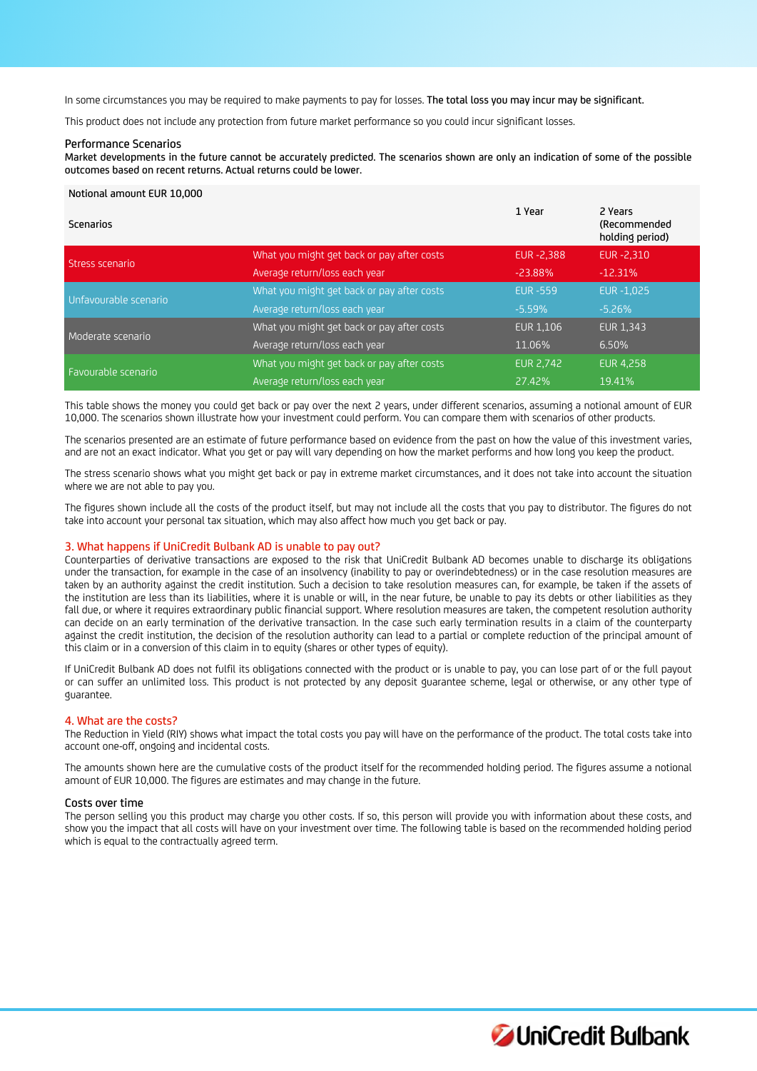In some circumstances you may be required to make payments to pay for losses. The total loss you may incur may be significant.

This product does not include any protection from future market performance so you could incur significant losses.

#### Performance Scenarios

Market developments in the future cannot be accurately predicted. The scenarios shown are only an indication of some of the possible outcomes based on recent returns. Actual returns could be lower.

#### Notional amount EUR 10,000

| Scenarios             |                                            | 1 Year            | 2 Years<br>(Recommended<br>holding period) |
|-----------------------|--------------------------------------------|-------------------|--------------------------------------------|
| Stress scenario       | What you might get back or pay after costs | <b>EUR -2.388</b> | EUR-2.310                                  |
|                       | Average return/loss each year              | $-23.88%$         | $-12.31%$                                  |
| Unfavourable scenario | What you might get back or pay after costs | <b>EUR -559</b>   | <b>EUR-1.025</b>                           |
|                       | Average return/loss each year              | $-5.59%$          | $-5.26%$                                   |
| Moderate scenario     | What you might get back or pay after costs | <b>EUR 1.106</b>  | <b>EUR 1.343</b>                           |
|                       | Average return/loss each year              | 11.06%            | 6.50%                                      |
|                       | What you might get back or pay after costs | <b>EUR 2.742</b>  | <b>EUR 4.258</b>                           |
| Favourable scenario   | Average return/loss each year              | 27.42%            | 19.41%                                     |

This table shows the money you could get back or pay over the next 2 years, under different scenarios, assuming a notional amount of EUR 10,000. The scenarios shown illustrate how your investment could perform. You can compare them with scenarios of other products.

The scenarios presented are an estimate of future performance based on evidence from the past on how the value of this investment varies, and are not an exact indicator. What you get or pay will vary depending on how the market performs and how long you keep the product.

The stress scenario shows what you might get back or pay in extreme market circumstances, and it does not take into account the situation where we are not able to pay you.

The figures shown include all the costs of the product itself, but may not include all the costs that you pay to distributor. The figures do not take into account your personal tax situation, which may also affect how much you get back or pay.

#### 3. What happens if UniCredit Bulbank AD is unable to pay out?

Counterparties of derivative transactions are exposed to the risk that UniCredit Bulbank AD becomes unable to discharge its obligations under the transaction, for example in the case of an insolvency (inability to pay or overindebtedness) or in the case resolution measures are taken by an authority against the credit institution. Such a decision to take resolution measures can, for example, be taken if the assets of the institution are less than its liabilities, where it is unable or will, in the near future, be unable to pay its debts or other liabilities as they fall due, or where it requires extraordinary public financial support. Where resolution measures are taken, the competent resolution authority can decide on an early termination of the derivative transaction. In the case such early termination results in a claim of the counterparty against the credit institution, the decision of the resolution authority can lead to a partial or complete reduction of the principal amount of this claim or in a conversion of this claim in to equity (shares or other types of equity).

If UniCredit Bulbank AD does not fulfil its obligations connected with the product or is unable to pay, you can lose part of or the full payout or can suffer an unlimited loss. This product is not protected by any deposit guarantee scheme, legal or otherwise, or any other type of guarantee.

#### 4. What are the costs?

The Reduction in Yield (RIY) shows what impact the total costs you pay will have on the performance of the product. The total costs take into account one-off, ongoing and incidental costs.

The amounts shown here are the cumulative costs of the product itself for the recommended holding period. The figures assume a notional amount of EUR 10,000. The figures are estimates and may change in the future.

### Costs over time

The person selling you this product may charge you other costs. If so, this person will provide you with information about these costs, and show you the impact that all costs will have on your investment over time. The following table is based on the recommended holding period which is equal to the contractually agreed term.